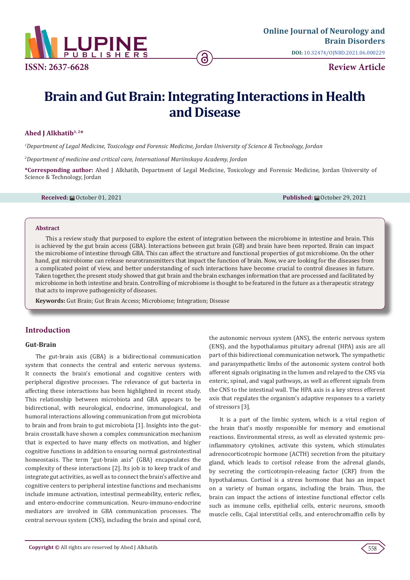

# **Brain and Gut Brain: Integrating Interactions in Health and Disease**

#### **Ahed J Alkhatib1, 2\***

*1 Department of Legal Medicine, Toxicology and Forensic Medicine, Jordan University of Science & Technology, Jordan* 

*2 Department of medicine and critical care, International Mariinskaya Academy, Jordan*

**\*Corresponding author:** Ahed J Alkhatib, Department of Legal Medicine, Toxicology and Forensic Medicine, Jordan University of Science & Technology, Jordan

**Received:** October 01, 2021 **Published:** October 29, 2021

#### **Abstract**

This a review study that purposed to explore the extent of integration between the microbiome in intestine and brain. This is achieved by the gut brain access (GBA). Interactions between gut brain (GB) and brain have been reported. Brain can impact the microbiome of intestine through GBA. This can affect the structure and functional properties of gut microbiome. On the other hand, gut microbiome can release neurotransmitters that impact the function of brain. Now, we are looking for the diseases from a complicated point of view, and better understanding of such interactions have become crucial to control diseases in future. Taken together, the present study showed that gut brain and the brain exchanges information that are processed and facilitated by microbiome in both intestine and brain. Controlling of microbiome is thought to be featured in the future as a therapeutic strategy that acts to improve pathogenicity of diseases.

**Keywords:** Gut Brain; Gut Brain Access; Microbiome; Integration; Disease

# **Introduction**

### **Gut-Brain**

The gut-brain axis (GBA) is a bidirectional communication system that connects the central and enteric nervous systems. It connects the brain's emotional and cognitive centers with peripheral digestive processes. The relevance of gut bacteria in affecting these interactions has been highlighted in recent study. This relationship between microbiota and GBA appears to be bidirectional, with neurological, endocrine, immunological, and humoral interactions allowing communication from gut microbiota to brain and from brain to gut microbiota [1]. Insights into the gutbrain crosstalk have shown a complex communication mechanism that is expected to have many effects on motivation, and higher cognitive functions in addition to ensuring normal gastrointestinal homeostasis. The term "gut-brain axis" (GBA) encapsulates the complexity of these interactions [2]. Its job is to keep track of and integrate gut activities, as well as to connect the brain's affective and cognitive centers to peripheral intestine functions and mechanisms include immune activation, intestinal permeability, enteric reflex, and entero-endocrine communication. Neuro-immuno-endocrine mediators are involved in GBA communication processes. The central nervous system (CNS), including the brain and spinal cord,

the autonomic nervous system (ANS), the enteric nervous system (ENS), and the hypothalamus pituitary adrenal (HPA) axis are all part of this bidirectional communication network. The sympathetic and parasympathetic limbs of the autonomic system control both afferent signals originating in the lumen and relayed to the CNS via enteric, spinal, and vagal pathways, as well as efferent signals from the CNS to the intestinal wall. The HPA axis is a key stress efferent axis that regulates the organism's adaptive responses to a variety of stressors [3].

It is a part of the limbic system, which is a vital region of the brain that's mostly responsible for memory and emotional reactions. Environmental stress, as well as elevated systemic proinflammatory cytokines, activate this system, which stimulates adrenocorticotropic hormone (ACTH) secretion from the pituitary gland, which leads to cortisol release from the adrenal glands, by secreting the corticotropin-releasing factor (CRF) from the hypothalamus. Cortisol is a stress hormone that has an impact on a variety of human organs, including the brain. Thus, the brain can impact the actions of intestine functional effector cells such as immune cells, epithelial cells, enteric neurons, smooth muscle cells, Cajal interstitial cells, and enterochromaffin cells by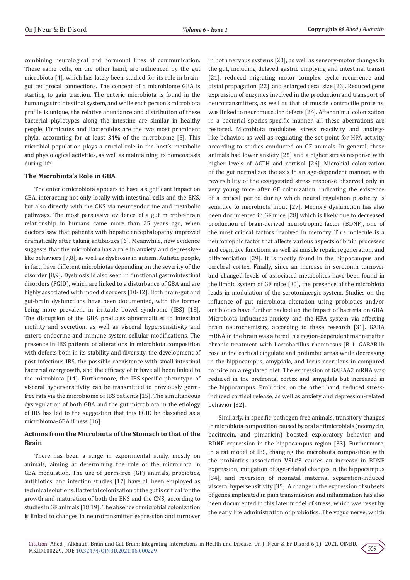combining neurological and hormonal lines of communication. These same cells, on the other hand, are influenced by the gut microbiota [4], which has lately been studied for its role in braingut reciprocal connections. The concept of a microbiome GBA is starting to gain traction. The enteric microbiota is found in the human gastrointestinal system, and while each person's microbiota profile is unique, the relative abundance and distribution of these bacterial phylotypes along the intestine are similar in healthy people. Firmicutes and Bacteroides are the two most prominent phyla, accounting for at least 34% of the microbiome [5]. This microbial population plays a crucial role in the host's metabolic and physiological activities, as well as maintaining its homeostasis during life.

## **The Microbiota's Role in GBA**

The enteric microbiota appears to have a significant impact on GBA, interacting not only locally with intestinal cells and the ENS, but also directly with the CNS via neuroendocrine and metabolic pathways. The most persuasive evidence of a gut microbe-brain relationship in humans came more than 25 years ago, when doctors saw that patients with hepatic encephalopathy improved dramatically after taking antibiotics [6]. Meanwhile, new evidence suggests that the microbiota has a role in anxiety and depressivelike behaviors [7,8], as well as dysbiosis in autism. Autistic people, in fact, have different microbiotas depending on the severity of the disorder [8,9]. Dysbiosis is also seen in functional gastrointestinal disorders (FGID), which are linked to a disturbance of GBA and are highly associated with mood disorders [10-12]. Both brain-gut and gut-brain dysfunctions have been documented, with the former being more prevalent in irritable bowel syndrome (IBS) [13]. The disruption of the GBA produces abnormalities in intestinal motility and secretion, as well as visceral hypersensitivity and entero-endocrine and immune system cellular modifications. The presence in IBS patients of alterations in microbiota composition with defects both in its stability and diversity, the development of post-infectious IBS, the possible coexistence with small intestinal bacterial overgrowth, and the efficacy of tr have all been linked to the microbiota [14]. Furthermore, the IBS-specific phenotype of visceral hypersensitivity can be transmitted to previously germfree rats via the microbiome of IBS patients [15]. The simultaneous dysregulation of both GBA and the gut microbiota in the etiology of IBS has led to the suggestion that this FGID be classified as a microbioma-GBA illness [16].

# **Actions from the Microbiota of the Stomach to that of the Brain**

There has been a surge in experimental study, mostly on animals, aiming at determining the role of the microbiota in GBA modulation. The use of germ-free (GF) animals, probiotics, antibiotics, and infection studies [17] have all been employed as technical solutions. Bacterial colonization of the gut is critical for the growth and maturation of both the ENS and the CNS, according to studies in GF animals [18,19]. The absence of microbial colonization is linked to changes in neurotransmitter expression and turnover in both nervous systems [20], as well as sensory-motor changes in the gut, including delayed gastric emptying and intestinal transit [21], reduced migrating motor complex cyclic recurrence and distal propagation [22], and enlarged cecal size [23]. Reduced gene expression of enzymes involved in the production and transport of neurotransmitters, as well as that of muscle contractile proteins, was linked to neuromuscular defects [24]. After animal colonization in a bacterial species-specific manner, all these aberrations are restored. Microbiota modulates stress reactivity and anxietylike behavior, as well as regulating the set point for HPA activity, according to studies conducted on GF animals. In general, these animals had lower anxiety [25] and a higher stress response with higher levels of ACTH and cortisol [26]. Microbial colonization of the gut normalizes the axis in an age-dependent manner, with reversibility of the exaggerated stress response observed only in very young mice after GF colonization, indicating the existence of a critical period during which neural regulation plasticity is sensitive to microbiota input [27]. Memory dysfunction has also been documented in GF mice [28] which is likely due to decreased production of brain-derived neurotrophic factor (BDNF), one of the most critical factors involved in memory. This molecule is a neurotrophic factor that affects various aspects of brain processes and cognitive functions, as well as muscle repair, regeneration, and differentiation [29]. It is mostly found in the hippocampus and cerebral cortex. Finally, since an increase in serotonin turnover and changed levels of associated metabolites have been found in the limbic system of GF mice [30], the presence of the microbiota leads in modulation of the serotoninergic system. Studies on the influence of gut microbiota alteration using probiotics and/or antibiotics have further backed up the impact of bacteria on GBA. Microbiota influences anxiety and the HPA system via affecting brain neurochemistry, according to these research [31]. GABA mRNA in the brain was altered in a region-dependent manner after chronic treatment with Lactobacillus rhamnosus JB-1. GABAB1b rose in the cortical cingulate and prelimbic areas while decreasing in the hippocampus, amygdala, and locus coeruleus in compared to mice on a regulated diet. The expression of GABAA2 mRNA was reduced in the prefrontal cortex and amygdala but increased in the hippocampus. Probiotics, on the other hand, reduced stressinduced cortisol release, as well as anxiety and depression-related behavior [32].

Similarly, in specific-pathogen-free animals, transitory changes in microbiota composition caused by oral antimicrobials (neomycin, bacitracin, and pimaricin) boosted exploratory behavior and BDNF expression in the hippocampus region [33]. Furthermore, in a rat model of IBS, changing the microbiota composition with the probiotic's association VSL#3 causes an increase in BDNF expression, mitigation of age-related changes in the hippocampus [34], and reversion of neonatal maternal separation-induced visceral hypersensitivity [35]. A change in the expression of subsets of genes implicated in pain transmission and inflammation has also been documented in this later model of stress, which was reset by the early life administration of probiotics. The vagus nerve, which

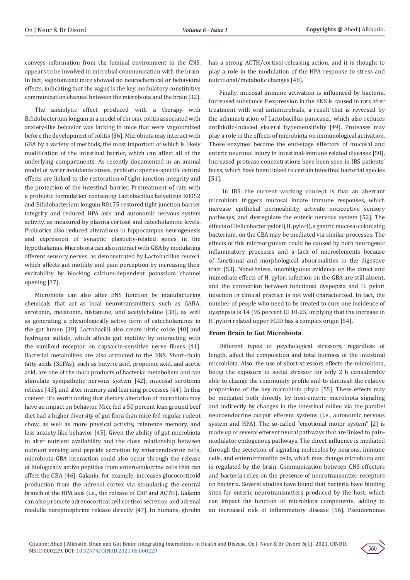conveys information from the luminal environment to the CNS, appears to be involved in microbial communication with the brain. In fact, vagotomized mice showed no neurochemical or behavioral effects, indicating that the vagus is the key modulatory constitutive communication channel between the microbiota and the brain [32].

The anxiolytic effect produced with a therapy with Bifidobacterium longum in a model of chronic colitis associated with anxiety-like behavior was lacking in mice that were vagotomized before the development of colitis [36]. Microbiota may interact with GBA by a variety of methods, the most important of which is likely modification of the intestinal barrier, which can affect all of the underlying compartments. As recently documented in an animal model of water avoidance stress, probiotic species-specific central effects are linked to the restoration of tight-junction integrity and the protection of the intestinal barrier. Pretreatment of rats with a probiotic formulation containing Lactobacillus helveticus R0052 and Bifidobacterium longum R0175 restored tight junction barrier integrity and reduced HPA axis and autonomic nervous system activity, as measured by plasma cortisol and catecholamine levels. Probiotics also reduced alterations in hippocampus neurogenesis and expression of synaptic plasticity-related genes in the hypothalamus. Microbiota can also interact with GBA by modulating afferent sensory nerves, as demonstrated by Lactobacillus reuteri, which affects gut motility and pain perception by increasing their excitability by blocking calcium-dependent potassium channel opening [37].

Microbiota can also alter ENS function by manufacturing chemicals that act as local neurotransmitters, such as GABA, serotonin, melatonin, histamine, and acetylcholine [38], as well as generating a physiologically active form of catecholamines in the gut lumen [39]. Lactobacilli also create nitric oxide [40] and hydrogen sulfide, which affects gut motility by interacting with the vanilloid receptor on capsaicin-sensitive nerve fibers [41]. Bacterial metabolites are also attracted to the ENS. Short-chain fatty acids (SCFAs), such as butyric acid, propionic acid, and acetic acid, are one of the main products of bacterial metabolism and can stimulate sympathetic nervous system [42], mucosal serotonin release [43], and alter memory and learning processes [44]. In this context, it's worth noting that dietary alteration of microbiota may have an impact on behavior. Mice fed a 50 percent lean ground beef diet had a higher diversity of gut flora than mice fed regular rodent chow, as well as more physical activity, reference memory, and less anxiety-like behavior [45]. Given the ability of gut microbiota to alter nutrient availability and the close relationship between nutrient sensing and peptide secretion by enteroendocrine cells, microbiota-GBA interaction could also occur through the release of biologically active peptides from enteroendocrine cells that can affect the GBA [46]. Galanin, for example, increases glucocorticoid production from the adrenal cortex via stimulating the central branch of the HPA axis (i.e., the release of CRF and ACTH). Galanin can also promote adrenocortical cell cortisol secretion and adrenal medulla norepinephrine release directly [47]. In humans, ghrelin

has a strong ACTH/cortisol-releasing action, and it is thought to play a role in the modulation of the HPA response to stress and nutritional/metabolic changes [48].

Finally, mucosal immune activation is influenced by bacteria. Increased substance P expression in the ENS is caused in rats after treatment with oral antimicrobials, a result that is reversed by the administration of Lactobacillus paracasei, which also reduces antibiotic-induced visceral hypersensitivity [49]. Proteases may play a role in the effects of microbiota on immunological activation. These enzymes become the end-stage effectors of mucosal and enteric neuronal injury in intestinal-immune related diseases [50]. Increased protease concentrations have been seen in IBS patients' feces, which have been linked to certain intestinal bacterial species [51].

 In IBS, the current working concept is that an aberrant microbiota triggers mucosal innate immune responses, which increase epithelial permeability, activate nociceptive sensory pathways, and dysregulate the enteric nervous system [52]. The effects of Helicobacter pylori (H. pylori), a gastric mucosa-colonizing bacterium, on the GBA may be mediated via similar processes. The effects of this microorganism could be caused by both neurogenic inflammatory processes and a lack of microelements because of functional and morphological abnormalities in the digestive tract [53]. Nonetheless, unambiguous evidence on the direct and immediate effects of H. pylori infection on the GBA are still absent, and the connection between functional dyspepsia and H. pylori infection in clinical practice is not well characterized. In fact, the number of people who need to be treated to cure one incidence of dyspepsia is 14 (95 percent CI 10-25, implying that the increase in H. pylori related upper FGID has a complex origin [54].

## **From Brain to Gut Microbiota**

Different types of psychological stressors, regardless of length, affect the composition and total biomass of the intestinal microbiota. Also, the use of short stressors effects the microbiota, being the exposure to social stressor for only 2 h considerably able to change the community profile and to diminish the relative proportions of the key microbiota phyla [55]. These effects may be mediated both directly by host-enteric microbiota signaling and indirectly by changes in the intestinal milieu via the parallel neuroendocrine output efferent systems (i.e., autonomic nervous system and HPA). The so-called "emotional motor system" [2] is made up of several efferent neural pathways that are linked to painmodulator endogenous pathways. The direct influence is mediated through the secretion of signaling molecules by neurons, immune cells, and enterocromaffin cells, which may change microbiota and is regulated by the brain. Communication between CNS effectors and bacteria relies on the presence of neurotransmitter receptors on bacteria. Several studies have found that bacteria have binding sites for enteric neurotransmitters produced by the host, which can impact the function of microbiota components, adding to an increased risk of inflammatory disease [56]. Pseudomonas

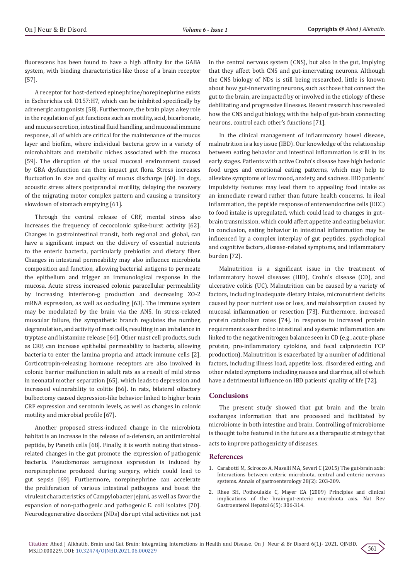fluorescens has been found to have a high affinity for the GABA system, with binding characteristics like those of a brain receptor [57].

A receptor for host-derived epinephrine/norepinephrine exists in Escherichia coli O157:H7, which can be inhibited specifically by adrenergic antagonists [58]. Furthermore, the brain plays a key role in the regulation of gut functions such as motility, acid, bicarbonate, and mucus secretion, intestinal fluid handling, and mucosal immune response, all of which are critical for the maintenance of the mucus layer and biofilm, where individual bacteria grow in a variety of microhabitats and metabolic niches associated with the mucosa [59]. The disruption of the usual mucosal environment caused by GBA dysfunction can then impact gut flora. Stress increases fluctuation in size and quality of mucus discharge [60]. In dogs, acoustic stress alters postprandial motility, delaying the recovery of the migrating motor complex pattern and causing a transitory slowdown of stomach emptying [61].

Through the central release of CRF, mental stress also increases the frequency of cecocolonic spike-burst activity [62]. Changes in gastrointestinal transit, both regional and global, can have a significant impact on the delivery of essential nutrients to the enteric bacteria, particularly prebiotics and dietary fiber. Changes in intestinal permeability may also influence microbiota composition and function, allowing bacterial antigens to permeate the epithelium and trigger an immunological response in the mucosa. Acute stress increased colonic paracellular permeability by increasing interferon-g production and decreasing ZO-2 mRNA expression, as well as occluding [63]. The immune system may be modulated by the brain via the ANS. In stress-related muscular failure, the sympathetic branch regulates the number, degranulation, and activity of mast cells, resulting in an imbalance in tryptase and histamine release [64]. Other mast cell products, such as CRF, can increase epithelial permeability to bacteria, allowing bacteria to enter the lamina propria and attack immune cells [2]. Corticotropin-releasing hormone receptors are also involved in colonic barrier malfunction in adult rats as a result of mild stress in neonatal mother separation [65], which leads to depression and increased vulnerability to colitis [66]. In rats, bilateral olfactory bulbectomy caused depression-like behavior linked to higher brain CRF expression and serotonin levels, as well as changes in colonic motility and microbial profile [67].

Another proposed stress-induced change in the microbiota habitat is an increase in the release of a-defensin, an antimicrobial peptide, by Paneth cells [68]. Finally, it is worth noting that stressrelated changes in the gut promote the expression of pathogenic bacteria. Pseudomonas aeruginosa expression is induced by norepinephrine produced during surgery, which could lead to gut sepsis [69]. Furthermore, norepinephrine can accelerate the proliferation of various intestinal pathogens and boost the virulent characteristics of Campylobacter jejuni, as well as favor the expansion of non-pathogenic and pathogenic E. coli isolates [70]. Neurodegenerative disorders (NDs) disrupt vital activities not just in the central nervous system (CNS), but also in the gut, implying that they affect both CNS and gut-innervating neurons. Although the CNS biology of NDs is still being researched, little is known about how gut-innervating neurons, such as those that connect the gut to the brain, are impacted by or involved in the etiology of these debilitating and progressive illnesses. Recent research has revealed how the CNS and gut biology, with the help of gut-brain connecting neurons, control each other's functions [71].

In the clinical management of inflammatory bowel disease, malnutrition is a key issue (IBD). Our knowledge of the relationship between eating behavior and intestinal inflammation is still in its early stages. Patients with active Crohn's disease have high hedonic food urges and emotional eating patterns, which may help to alleviate symptoms of low mood, anxiety, and sadness. IBD patients' impulsivity features may lead them to appealing food intake as an immediate reward rather than future health concerns. In ileal inflammation, the peptide response of enteroendocrine cells (EEC) to food intake is upregulated, which could lead to changes in gut– brain transmission, which could affect appetite and eating behavior. In conclusion, eating behavior in intestinal inflammation may be influenced by a complex interplay of gut peptides, psychological and cognitive factors, disease-related symptoms, and inflammatory burden [72].

Malnutrition is a significant issue in the treatment of inflammatory bowel diseases (IBD), Crohn's disease (CD), and ulcerative colitis (UC). Malnutrition can be caused by a variety of factors, including inadequate dietary intake, micronutrient deficits caused by poor nutrient use or loss, and malabsorption caused by mucosal inflammation or resection [73]. Furthermore, increased protein catabolism rates [74]. in response to increased protein requirements ascribed to intestinal and systemic inflammation are linked to the negative nitrogen balance seen in CD (e.g., acute-phase protein, pro-inflammatory cytokine, and fecal calprotectin FCP production). Malnutrition is exacerbated by a number of additional factors, including illness load, appetite loss, disordered eating, and other related symptoms including nausea and diarrhea, all of which have a detrimental influence on IBD patients' quality of life [72].

#### **Conclusions**

The present study showed that gut brain and the brain exchanges information that are processed and facilitated by microbiome in both intestine and brain. Controlling of microbiome is thought to be featured in the future as a therapeutic strategy that

acts to improve pathogenicity of diseases.

#### **References**

- 1. [Carabotti M, Scirocco A, Maselli MA, Severi C \(2015\) The gut-brain axis:](https://www.ncbi.nlm.nih.gov/labs/pmc/articles/PMC4367209/) [Interactions between enteric microbiota, central and enteric nervous](https://www.ncbi.nlm.nih.gov/labs/pmc/articles/PMC4367209/) [systems. Annals of gastroenterology 28\(2\): 203-209.](https://www.ncbi.nlm.nih.gov/labs/pmc/articles/PMC4367209/)
- 2. [Rhee SH, Pothoulakis C, Mayer EA \(2009\) Principles and clinical](https://pubmed.ncbi.nlm.nih.gov/19404271/) [implications of the brain-gut-enteric microbiota axis. Nat Rev](https://pubmed.ncbi.nlm.nih.gov/19404271/) [Gastroenterol Hepatol 6\(5\): 306-314.](https://pubmed.ncbi.nlm.nih.gov/19404271/)

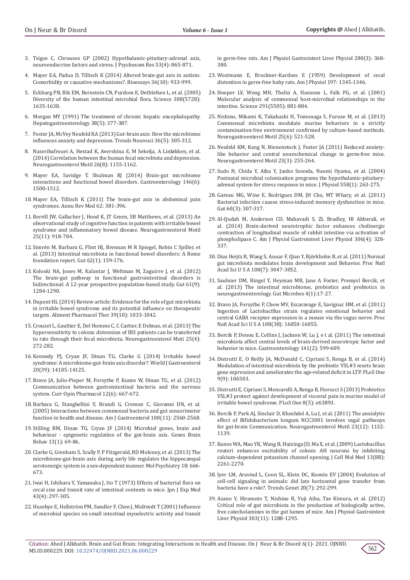- 3. [Tsigos C, Chrousos GP \(2002\) Hypothalamic-pituitary-adrenal axis,](https://pubmed.ncbi.nlm.nih.gov/12377295/)  [neuroendocrine factors and stress. J Psychosom Res 53\(4\): 865-871.](https://pubmed.ncbi.nlm.nih.gov/12377295/)
- 4. [Mayer EA, Padua D, Tillisch K \(2014\) Altered brain-gut axis in autism:](https://pubmed.ncbi.nlm.nih.gov/25145752/)  [Comorbidity or causative mechanisms?. Bioessays 36\(10\): 933-999.](https://pubmed.ncbi.nlm.nih.gov/25145752/)
- 5. [Eckburg PB, Bik EM, Bernstein CN, Purdom E, Dethlefsen L, et al. \(2005\)](https://www.ncbi.nlm.nih.gov/labs/pmc/articles/PMC1395357/)  [Diversity of the human intestinal microbial flora. Science 308\(5728\):](https://www.ncbi.nlm.nih.gov/labs/pmc/articles/PMC1395357/)  [1635-1638.](https://www.ncbi.nlm.nih.gov/labs/pmc/articles/PMC1395357/)
- 6. [Morgan MY \(1991\) The treatment of chronic hepatic encephalopathy.](https://pubmed.ncbi.nlm.nih.gov/1662661/)  [Hepatogastroenterology 38\(5\): 377-387.](https://pubmed.ncbi.nlm.nih.gov/1662661/)
- 7. [Foster JA, McVey Neufeld KA \(2013\) Gut-brain axis: How the microbiome](https://pubmed.ncbi.nlm.nih.gov/23384445/)  [influences anxiety and depression. Trends Neurosci 36\(5\): 305-312.](https://pubmed.ncbi.nlm.nih.gov/23384445/)
- 8. [Naseribafrouei A, Hestad K, Avershina E, M Sekelja, A Linløkken, et al.](https://pubmed.ncbi.nlm.nih.gov/24888394/)  [\(2014\) Correlation between the human fecal microbiota and depression.](https://pubmed.ncbi.nlm.nih.gov/24888394/)  [Neurogastroenterol Motil 26\(8\): 1155-1162.](https://pubmed.ncbi.nlm.nih.gov/24888394/)
- 9. Mayer EA, Savidge T, Shulman RJ (2014) Brain-gut microbiome [interactions and functional bowel disorders. Gastroenterology 146\(6\):](https://pubmed.ncbi.nlm.nih.gov/24583088/)  [1500-1512.](https://pubmed.ncbi.nlm.nih.gov/24583088/)
- 10. [Mayer EA, Tillisch K \(2011\) The brain-gut axis in abdominal pain](https://pubmed.ncbi.nlm.nih.gov/21090962/)  [syndromes. Annu Rev Med 62: 381-396.](https://pubmed.ncbi.nlm.nih.gov/21090962/)
- 11. [Berrill JW, Gallacher J, Hood K, JT Green, SB Matthews, et al. \(2013\) An](https://pubmed.ncbi.nlm.nih.gov/23981191/)  [observational study of cognitive function in patients with irritable bowel](https://pubmed.ncbi.nlm.nih.gov/23981191/)  [syndrome and inflammatory bowel disease. Neurogastroenterol Motil](https://pubmed.ncbi.nlm.nih.gov/23981191/)  [25\(11\): 918-704.](https://pubmed.ncbi.nlm.nih.gov/23981191/)
- 12. [Simrén M, Barbara G, Flint HJ, Brennan M R Spiegel, Robin C Spiller, et](https://pubmed.ncbi.nlm.nih.gov/22730468/)  [al. \(2013\) Intestinal microbiota in functional bowel disorders: A Rome](https://pubmed.ncbi.nlm.nih.gov/22730468/)  [foundation report. Gut 62\(1\): 159-176.](https://pubmed.ncbi.nlm.nih.gov/22730468/)
- 13. [Koloski NA, Jones M, Kalantar J, Weltman M, Zaguirre J, et al. \(2012\)](https://pubmed.ncbi.nlm.nih.gov/22234979/)  [The brain-gut pathway in functional gastrointestinal disorders is](https://pubmed.ncbi.nlm.nih.gov/22234979/)  [bidirectional: A 12-year prospective population-based study. Gut 61\(9\):](https://pubmed.ncbi.nlm.nih.gov/22234979/)  [1284-1290.](https://pubmed.ncbi.nlm.nih.gov/22234979/)
- 14. [Dupont HL \(2014\) Review article: Evidence for the role of gut microbiota](https://pubmed.ncbi.nlm.nih.gov/24665829/)  [in irritable bowel syndrome and its potential influence on therapeutic](https://pubmed.ncbi.nlm.nih.gov/24665829/)  [targets. Aliment Pharmacol Ther 39\(10\): 1033-1042.](https://pubmed.ncbi.nlm.nih.gov/24665829/)
- 15. Crouzet L, Gaultier E, Del [Homme C, C Cartier, E Delmas, et al. \(2013\) The](https://pubmed.ncbi.nlm.nih.gov/23433203/)  [hypersensitivity to colonic distension of IBS patients can be transferred](https://pubmed.ncbi.nlm.nih.gov/23433203/)  [to rats through their fecal microbiota. Neurogastroenterol Moti 25\(4\):](https://pubmed.ncbi.nlm.nih.gov/23433203/)  [272-282.](https://pubmed.ncbi.nlm.nih.gov/23433203/)
- 16. [Kennedy PJ, Cryan JF, Dinan TG, Clarke G \(2014\) Irritable bowel](https://www.ncbi.nlm.nih.gov/labs/pmc/articles/PMC4202342/)  [syndrome: A microbiome-gut-brain axis disorder?. World J Gastroenterol](https://www.ncbi.nlm.nih.gov/labs/pmc/articles/PMC4202342/)  [20\(39\): 14105-14125.](https://www.ncbi.nlm.nih.gov/labs/pmc/articles/PMC4202342/)
- 17. [Bravo JA, Julio-Pieper M, Forsythe P, Kunze W, Dinan TG, et al. \(2012\)](https://pubmed.ncbi.nlm.nih.gov/23041079/)  [Communication between gastrointestinal bacteria and the nervous](https://pubmed.ncbi.nlm.nih.gov/23041079/)  [system. Curr Opin Pharmacol 12\(6\): 667-672.](https://pubmed.ncbi.nlm.nih.gov/23041079/)
- 18. [Barbara G, Stanghellini V, Brandi G, Cremon C, Giovanni DN, et al.](https://pubmed.ncbi.nlm.nih.gov/16279914/)  [\(2005\) Interactions between commensal bacteria and gut sensorimotor](https://pubmed.ncbi.nlm.nih.gov/16279914/)  [function in health and disease. Am J Gastroenterol 100\(11\): 2560-2568.](https://pubmed.ncbi.nlm.nih.gov/16279914/)
- 19. [Stilling RM, Dinan TG, Cryan JF \(2014\) Microbial genes, brain and](https://onlinelibrary.wiley.com/doi/full/10.1111/gbb.12109)  [behaviour - epigenetic regulation of the gut-brain axis. Genes Brain](https://onlinelibrary.wiley.com/doi/full/10.1111/gbb.12109)  [Behav 13\(1\): 69-86.](https://onlinelibrary.wiley.com/doi/full/10.1111/gbb.12109)
- 20. [Clarke G, Grenham S, Scully P, P Fitzgerald, RD Moloney, et al. \(2013\) The](https://www.nature.com/articles/mp201277)  [microbiome-gut-brain axis during early life regulates the hippocampal](https://www.nature.com/articles/mp201277)  [serotonergic system in a sex-dependent manner. Mol Psychiatry 18: 666-](https://www.nature.com/articles/mp201277) [673.](https://www.nature.com/articles/mp201277)
- 21. [Iwai H, Ishihara Y, Yamanaka J, Ito T \(1973\) Effects of bacterial flora on](https://pubmed.ncbi.nlm.nih.gov/4580917/)  [cecal size and transit rate of intestinal contents in mice. Jpn J Exp Med](https://pubmed.ncbi.nlm.nih.gov/4580917/)  [43\(4\): 297-305.](https://pubmed.ncbi.nlm.nih.gov/4580917/)
- 22. Husebye E, Hellströ[m PM, Sundler F, Chen J, Midtvedt T \(2001\) Influence](https://pubmed.ncbi.nlm.nih.gov/11171619/)  [of microbial species on small intestinal myoelectric activity and transit](https://pubmed.ncbi.nlm.nih.gov/11171619/)

[in germ-free rats. Am J Physiol Gastrointest Liver Physiol 280\(3\): 368-](https://pubmed.ncbi.nlm.nih.gov/11171619/) [380.](https://pubmed.ncbi.nlm.nih.gov/11171619/)

- 23. [Wostmann E, Bruckner-Kardoss E \(1959\) Development of cecal](https://pubmed.ncbi.nlm.nih.gov/13846013/) [distention in germ-free baby rats. Am J Physiol 197: 1345-1346.](https://pubmed.ncbi.nlm.nih.gov/13846013/)
- 24. [Hooper LV, Wong MH, Thelin A, Hansson L, Falk PG, et al. \(2001\)](https://pubmed.ncbi.nlm.nih.gov/11157169/) [Molecular analysis of commensal host-microbial relationships in the](https://pubmed.ncbi.nlm.nih.gov/11157169/) [intestine. Science 291\(5505\): 881-884.](https://pubmed.ncbi.nlm.nih.gov/11157169/)
- 25. [Nishino, Mikami K, Takahashi H, Tomonaga S, Furuse M, et al. \(2013\)](https://pubmed.ncbi.nlm.nih.gov/23480302/) [Commensal microbiota modulate murine behaviors in a strictly](https://pubmed.ncbi.nlm.nih.gov/23480302/) [contamination-free environment confirmed by culture-based methods.](https://pubmed.ncbi.nlm.nih.gov/23480302/) [Neurogastroenterol Motil 25\(6\): 521-528.](https://pubmed.ncbi.nlm.nih.gov/23480302/)
- 26. [Neufeld KM, Kang N, Bienenstock J, Foster JA \(2011\) Reduced anxiety](https://pubmed.ncbi.nlm.nih.gov/21054680/)[like behavior and central neurochemical change in germ-free mice.](https://pubmed.ncbi.nlm.nih.gov/21054680/) [Neurogastroenterol Motil 23\(3\): 255-264.](https://pubmed.ncbi.nlm.nih.gov/21054680/)
- 27. [Sudo N, Chida Y, Aiba Y, Junko Sonoda, Naomi Oyama, et al. \(2004\)](https://pubmed.ncbi.nlm.nih.gov/15133062/) [Postnatal microbial colonization programs the hypothalamic-pituitary](https://pubmed.ncbi.nlm.nih.gov/15133062/)[adrenal system for stress response in mice. J Physiol 558\(1\): 263-275.](https://pubmed.ncbi.nlm.nih.gov/15133062/)
- 28. [Gareau MG, Wine E, Rodrigues DM, JH Cho, MT Whary, et al. \(2011\)](https://pubmed.ncbi.nlm.nih.gov/20966022/) [Bacterial infection causes stress-induced memory dysfunction in mice.](https://pubmed.ncbi.nlm.nih.gov/20966022/) [Gut 60\(3\): 307-317.](https://pubmed.ncbi.nlm.nih.gov/20966022/)
- 29. [Al-Qudah M, Anderson CD, Mahavadi S, ZL Bradley, HI Akbarali, et](https://pubmed.ncbi.nlm.nih.gov/24356881/) [al. \(2014\) Brain-derived neurotrophic factor enhances cholinergic](https://pubmed.ncbi.nlm.nih.gov/24356881/) [contraction of longitudinal muscle of rabbit intestine via activation of](https://pubmed.ncbi.nlm.nih.gov/24356881/) [phospholipase C. Am J Physiol Gastrointest Liver Physiol 306\(4\): 328-](https://pubmed.ncbi.nlm.nih.gov/24356881/) [337.](https://pubmed.ncbi.nlm.nih.gov/24356881/)
- 30. [Diaz Heijtz R, Wang S, Anuar F, Qian Y, Björkholm B, et al. \(2011\) Normal](https://www.pnas.org/content/108/7/3047) [gut microbiota modulates brain development and Behavior. Proc Natl](https://www.pnas.org/content/108/7/3047) [Acad Sci U S A 108\(7\): 3047-3052.](https://www.pnas.org/content/108/7/3047)
- 31. [Saulnier DM, Ringel Y, Heyman MB, Jane A Foster, Premysl Bercik, et](https://pubmed.ncbi.nlm.nih.gov/23202796/) [al. \(2013\) The intestinal microbiome, probiotics and prebiotics in](https://pubmed.ncbi.nlm.nih.gov/23202796/) [neurogastroenterology. Gut Microbes 4\(1\):17-27.](https://pubmed.ncbi.nlm.nih.gov/23202796/)
- 32. [Bravo JA, Forsythe P, Chew MV, Escaravage E, Savignac HM, et al. \(2011\)](https://www.pnas.org/content/108/38/16050) [Ingestion of Lactobacillus strain regulates emotional behavior and](https://www.pnas.org/content/108/38/16050) [central GABA receptor expression in a mouse via the vagus nerve. Proc](https://www.pnas.org/content/108/38/16050) [Natl Acad Sci U S A 108\(38\): 16050-16055.](https://www.pnas.org/content/108/38/16050)
- 33. [Bercik P, Denou E, Collins J, Jackson W, Lu J, e t al. \(2011\) The intestinal](https://pubmed.ncbi.nlm.nih.gov/21683077/) [microbiota affect central levels of brain-derived neurotropic factor and](https://pubmed.ncbi.nlm.nih.gov/21683077/) [behavior in mice. Gastroenterology 141\(2\): 599-609.](https://pubmed.ncbi.nlm.nih.gov/21683077/)
- 34. [Distrutti E, O Reilly JA, McDonald C, Cipriani S, Renga B, et al. \(2014\)](https://pubmed.ncbi.nlm.nih.gov/25202975/) [Modulation of intestinal microbiota by the probiotic VSL#3 resets brain](https://pubmed.ncbi.nlm.nih.gov/25202975/) [gene expression and ameliorates the age-related deficit in LTP. PLoS One](https://pubmed.ncbi.nlm.nih.gov/25202975/) [9\(9\): 106503.](https://pubmed.ncbi.nlm.nih.gov/25202975/)
- 35. [Distrutti E, Cipriani S, Mencarelli A, Renga B, Fiorucci S \(2013\) Probiotics](https://pubmed.ncbi.nlm.nih.gov/23691109/) [VSL#3 protect against development of visceral pain in murine model of](https://pubmed.ncbi.nlm.nih.gov/23691109/) [irritable bowel syndrome. PLoS One 8\(5\): e63893.](https://pubmed.ncbi.nlm.nih.gov/23691109/)
- 36. [Bercik P, Park AJ, Sinclair D, Khoshdel A, Lu J, et al. \(2011\) The anxiolytic](https://pubmed.ncbi.nlm.nih.gov/21988661/) [effect of Bifidobacterium longum NCC3001 involves vagal pathways](https://pubmed.ncbi.nlm.nih.gov/21988661/) [for gut-brain Communication. Neurogastroenterol Motil 23\(12\): 1132-](https://pubmed.ncbi.nlm.nih.gov/21988661/) [1139.](https://pubmed.ncbi.nlm.nih.gov/21988661/)
- 37. [Kunze WA, Mao YK, Wang B, Huizinga JD, Ma X, et al. \(2009\) Lactobacillus](https://pubmed.ncbi.nlm.nih.gov/19210574/) [reuteri enhances excitability of colonic AH neurons by inhibiting](https://pubmed.ncbi.nlm.nih.gov/19210574/) [calcium-dependent potassium channel opening. J Cell Mol Med 13\(8B\):](https://pubmed.ncbi.nlm.nih.gov/19210574/) [2261-2270.](https://pubmed.ncbi.nlm.nih.gov/19210574/)
- 38. [Iyer LM, Aravind L, Coon SL, Klein DC, Koonin EV \(2004\) Evolution of](https://pubmed.ncbi.nlm.nih.gov/15219393/) [cell-cell signaling in animals: did late horizontal gene transfer from](https://pubmed.ncbi.nlm.nih.gov/15219393/) [bacteria have a role?. Trends Genet 20\(7\): 292-299.](https://pubmed.ncbi.nlm.nih.gov/15219393/)
- 39. [Asano Y, Hiramoto T, Nishino R, Yuji Aiba, Tae Kimura, et al. \(2012\)](https://pubmed.ncbi.nlm.nih.gov/23064760/) [Critical role of gut microbiota in the production of biologically active,](https://pubmed.ncbi.nlm.nih.gov/23064760/) [free catecholamines in the gut lumen of mice. Am J Physiol Gastrointest](https://pubmed.ncbi.nlm.nih.gov/23064760/) [Liver Physiol 303\(11\): 1288-1295.](https://pubmed.ncbi.nlm.nih.gov/23064760/)

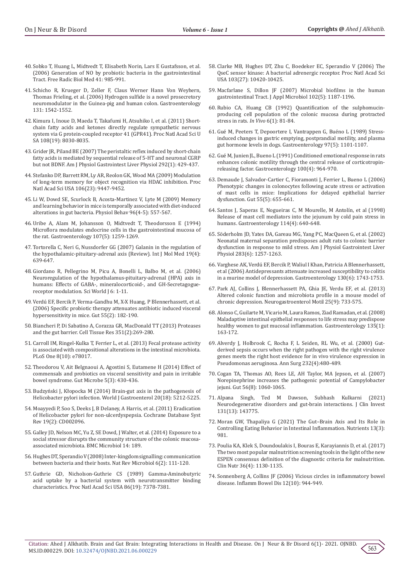- 40. [Sobko T, Huang L, Midtvedt T, Elisabeth Norin, Lars E Gustafsson, et al.](https://pubmed.ncbi.nlm.nih.gov/16934682/)  [\(2006\) Generation of NO by probiotic bacteria in the gastrointestinal](https://pubmed.ncbi.nlm.nih.gov/16934682/)  [Tract. Free Radic Biol Med 41: 985-991.](https://pubmed.ncbi.nlm.nih.gov/16934682/)
- 41. [Schicho R, Krueger D, Zeller F, Claus Werner Hann Von Weyhern,](https://pubmed.ncbi.nlm.nih.gov/17101327/)  [Thomas Frieling, et al. \(2006\) Hydrogen sulfide is a novel prosecretory](https://pubmed.ncbi.nlm.nih.gov/17101327/)  [neuromodulator in the Guinea-pig and human colon. Gastroenterology](https://pubmed.ncbi.nlm.nih.gov/17101327/)  [131: 1542-1552.](https://pubmed.ncbi.nlm.nih.gov/17101327/)
- 42. [Kimura I, Inoue D, Maeda T, Takafumi H, Atsuhiko I, et al. \(2011\) Short](https://pubmed.ncbi.nlm.nih.gov/21518883/)[chain fatty acids and ketones directly regulate sympathetic nervous](https://pubmed.ncbi.nlm.nih.gov/21518883/)  [system via G protein-coupled receptor 41 \(GPR41\). Proc Natl Acad Sci U](https://pubmed.ncbi.nlm.nih.gov/21518883/)  [SA 108\(19\): 8030-8035.](https://pubmed.ncbi.nlm.nih.gov/21518883/)
- 43. [Grider JR, Piland BE \(2007\) The peristaltic reflex induced by short-chain](https://pubmed.ncbi.nlm.nih.gov/16973914/)  [fatty acids is mediated by sequential release of 5-HT and neuronal CGRP](https://pubmed.ncbi.nlm.nih.gov/16973914/)  [but not BDNF. Am J Physiol Gastrointest Liver Physiol 292\(1\): 429-437.](https://pubmed.ncbi.nlm.nih.gov/16973914/)
- 44. [Stefanko DP, Barrett RM, Ly AR, Reolon GK, Wood MA \(2009\) Modulation](https://pubmed.ncbi.nlm.nih.gov/19470462/)  [of long-term memory for object recognition via HDAC inhibition. Proc](https://pubmed.ncbi.nlm.nih.gov/19470462/)  [Natl Acad Sci USA 106\(23\): 9447-9452.](https://pubmed.ncbi.nlm.nih.gov/19470462/)
- 45. [Li W, Dowd SE, Scurlock B, Acosta-Martinez V, Lyte M \(2009\) Memory](https://pubmed.ncbi.nlm.nih.gov/19135464/)  [and learning behavior in mice is temporally associated with diet-induced](https://pubmed.ncbi.nlm.nih.gov/19135464/)  [alterations in gut bacteria. Physiol Behav 96\(4-5\): 557-567.](https://pubmed.ncbi.nlm.nih.gov/19135464/)
- 46. [Uribe A, Alam M, Johansson O, Midtvedt T, Theodorsson E \(1994\)](https://pubmed.ncbi.nlm.nih.gov/7926490/)  [Microflora modulates endocrine cells in the gastrointestinal mucosa of](https://pubmed.ncbi.nlm.nih.gov/7926490/)  [the rat. Gastroenterology 107\(5\): 1259-1269.](https://pubmed.ncbi.nlm.nih.gov/7926490/)
- 47. [Tortorella C, Neri G, Nussdorfer GG \(2007\) Galanin in the regulation of](https://pubmed.ncbi.nlm.nih.gov/17334639/)  [the hypothalamic-pituitary-adrenal axis \(Review\). Int J Mol Med 19\(4\):](https://pubmed.ncbi.nlm.nih.gov/17334639/)  [639-647.](https://pubmed.ncbi.nlm.nih.gov/17334639/)
- 48. [Giordano R, Pellegrino M, Picu A, Bonelli L, Balbo M, et al. \(2006\)](https://pubmed.ncbi.nlm.nih.gov/16432622/)  [Neuroregulation of the hypothalamus-pituitary-adrenal \(HPA\) axis in](https://pubmed.ncbi.nlm.nih.gov/16432622/)  [humans: Effects of GABA-, mineralocorticoid-, and GH-Secretagogue](https://pubmed.ncbi.nlm.nih.gov/16432622/)[receptor modulation. Sci World J 6: 1-11.](https://pubmed.ncbi.nlm.nih.gov/16432622/)
- 49. [Verdú EF, Bercik P, Verma-Gandhu M, X-X Huang, P Blennerhassett, et al.](https://pubmed.ncbi.nlm.nih.gov/16105890/)  [\(2006\) Specific probiotic therapy attenuates antibiotic induced visceral](https://pubmed.ncbi.nlm.nih.gov/16105890/)  [hypersensitivity in mice. Gut 55\(2\): 182-190.](https://pubmed.ncbi.nlm.nih.gov/16105890/)
- 50. [Biancheri P, Di Sabatino A, Corazza GR, MacDonald TT \(2013\) Proteases](https://pubmed.ncbi.nlm.nih.gov/22427120/)  [and the gut barrier. Cell Tissue Res 351\(2\):269-280.](https://pubmed.ncbi.nlm.nih.gov/22427120/)
- 51. [Carroll IM, Ringel-Kulka T, Ferrier L, et al. \(2013\) Fecal protease activity](https://pubmed.ncbi.nlm.nih.gov/24147109/)  [is associated with compositional alterations in the intestinal microbiota.](https://pubmed.ncbi.nlm.nih.gov/24147109/)  [PLoS One 8\(10\): e78017.](https://pubmed.ncbi.nlm.nih.gov/24147109/)
- 52. [Theodorou V, Ait Belgnaoui A, Agostini S, Eutamene H \(2014\) Effect of](https://pubmed.ncbi.nlm.nih.gov/25184834/)  [commensals and probiotics on visceral sensitivity and pain in irritable](https://pubmed.ncbi.nlm.nih.gov/25184834/)  [bowel syndrome. Gut Microbe 5\(3\): 430-436.](https://pubmed.ncbi.nlm.nih.gov/25184834/)
- 53. Budzyński J, Kł[opocka M \(2014\) Brain-gut axis in the pathogenesis of](https://pubmed.ncbi.nlm.nih.gov/24833851/)  [Helicobacter pylori infection. World J Gastroenterol 20\(18\): 5212-5225.](https://pubmed.ncbi.nlm.nih.gov/24833851/)
- 54. [Moayyedi P, Soo S, Deeks J, B Delaney, A Harris, et al. \(2011\) Eradication](https://pubmed.ncbi.nlm.nih.gov/16625554/)  [of Helicobacter pylori for non-ulcerdyspepsia. Cochrane Database Syst](https://pubmed.ncbi.nlm.nih.gov/16625554/)  [Rev 19\(2\): CD002096.](https://pubmed.ncbi.nlm.nih.gov/16625554/)
- 55. [Galley JD, Nelson MC, Yu Z, SE Dowd, J Walter, et al. \(2014\) Exposure to a](https://pubmed.ncbi.nlm.nih.gov/25028050/)  [social stressor disrupts the community structure of the colonic mucosa](https://pubmed.ncbi.nlm.nih.gov/25028050/)[associated microbiota. BMC Microbiol 14: 189.](https://pubmed.ncbi.nlm.nih.gov/25028050/)
- 56. [Hughes DT, Sperandio V \(2008\) Inter-kingdom signalling: communication](https://pubmed.ncbi.nlm.nih.gov/18197168/)  [between bacteria and their hosts. Nat Rev Microbiol 6\(2\): 111-120.](https://pubmed.ncbi.nlm.nih.gov/18197168/)
- 57. [Guthrie GD, Nicholson-Guthrie CS \(1989\) Gamma-Aminobutyric](https://pubmed.ncbi.nlm.nih.gov/2552441/)  [acid uptake by a bacterial system with neurotransmitter binding](https://pubmed.ncbi.nlm.nih.gov/2552441/)  [characteristics. Proc Natl Acad Sci USA 86\(19\): 7378-7381.](https://pubmed.ncbi.nlm.nih.gov/2552441/)
- 58. [Clarke MB, Hughes DT, Zhu C, Boedeker EC, Sperandio V \(2006\) The](https://pubmed.ncbi.nlm.nih.gov/16803956/) [QseC sensor kinase: A bacterial adrenergic receptor. Proc Natl Acad Sci](https://pubmed.ncbi.nlm.nih.gov/16803956/) [USA 103\(27\): 10420-10425.](https://pubmed.ncbi.nlm.nih.gov/16803956/)
- 59. [Macfarlane S, Dillon JF \(2007\) Microbial biofilms in the human](https://pubmed.ncbi.nlm.nih.gov/17448154/) [gastrointestinal Tract. J Appl Microbiol 102\(5\): 1187-1196.](https://pubmed.ncbi.nlm.nih.gov/17448154/)
- 60. [Rubio CA, Huang CB \(1992\) Quantification of the sulphomucin](https://pubmed.ncbi.nlm.nih.gov/1627747/)[producing cell population of the colonic mucosa during protracted](https://pubmed.ncbi.nlm.nih.gov/1627747/) [stress in rats.](https://pubmed.ncbi.nlm.nih.gov/1627747/) *In Vivo* 6(1): 81-84.
- 61. [Gué M, Peeters T, Depoortere I, Vantrappen G, Buéno L \(1989\) Stress](https://pubmed.ncbi.nlm.nih.gov/2571543/)[induced changes in gastric emptying, postprandial motility, and plasma](https://pubmed.ncbi.nlm.nih.gov/2571543/) [gut hormone levels in dogs. Gastroenterology 97\(5\): 1101-1107.](https://pubmed.ncbi.nlm.nih.gov/2571543/)
- 62. [Gué M, Junien JL, Bueno L \(1991\) Conditioned emotional response in rats](https://pubmed.ncbi.nlm.nih.gov/2001832/) [enhances colonic motility through the central release of corticotropin](https://pubmed.ncbi.nlm.nih.gov/2001832/)[releasing factor. Gastroenterology 100\(4\): 964-970.](https://pubmed.ncbi.nlm.nih.gov/2001832/)
- 63. [Demaude J, Salvador-Cartier C, Fioramonti J, Ferrier L, Bueno L \(2006\)](https://pubmed.ncbi.nlm.nih.gov/16299034/) [Phenotypic changes in colonocytes following acute stress or activation](https://pubmed.ncbi.nlm.nih.gov/16299034/) [of mast cells in mice: Implications for delayed epithelial barrier](https://pubmed.ncbi.nlm.nih.gov/16299034/) [dysfunction. Gut 55\(5\): 655-661.](https://pubmed.ncbi.nlm.nih.gov/16299034/)
- 64. Santos J, Saperas E, Nogueiras C, [M Mourelle, M Antolín, et al \(1998\)](https://pubmed.ncbi.nlm.nih.gov/9516384/) [Release of mast cell mediators into the jejunum by cold pain stress in](https://pubmed.ncbi.nlm.nih.gov/9516384/) [humans. Gastroenterology 114\(4\): 640-648.](https://pubmed.ncbi.nlm.nih.gov/9516384/)
- 65. [Söderholm JD, Yates DA, Gareau MG, Yang PC, MacQueen G, et al. \(2002\)](https://pubmed.ncbi.nlm.nih.gov/12388189/) [Neonatal maternal separation predisposes adult rats to colonic barrier](https://pubmed.ncbi.nlm.nih.gov/12388189/) [dysfunction in response to mild stress. Am J Physiol Gastrointest Liver](https://pubmed.ncbi.nlm.nih.gov/12388189/) [Physiol 283\(6\): 1257-1263.](https://pubmed.ncbi.nlm.nih.gov/12388189/)
- 66. [Varghese AK, Verdú EF, Bercik P, Waliul I Khan, Patricia A Blennerhassett,](https://pubmed.ncbi.nlm.nih.gov/16697738/) [et al \(2006\) Antidepressants attenuate increased susceptibility to colitis](https://pubmed.ncbi.nlm.nih.gov/16697738/) [in a murine model of depression. Gastroenterology 130\(6\): 1743-1753.](https://pubmed.ncbi.nlm.nih.gov/16697738/)
- 67. [Park AJ, Collins J, Blennerhassett PA, Ghia JE, Verdu EF, et al. \(2013\)](https://pubmed.ncbi.nlm.nih.gov/23773726/) [Altered colonic function and microbiota profile in a mouse model of](https://pubmed.ncbi.nlm.nih.gov/23773726/) [chronic depression. Neurogastroenterol Motil 25\(9\): 733-575.](https://pubmed.ncbi.nlm.nih.gov/23773726/)
- 68. [Alonso C, Guilarte M, Vicario M, Laura Ramos, Ziad Ramadan, et al. \(2008\)](https://pubmed.ncbi.nlm.nih.gov/18455999/) [Maladaptive intestinal epithelial responses to life stress may predispose](https://pubmed.ncbi.nlm.nih.gov/18455999/) [healthy women to gut mucosal inflammation. Gastroenterology 135\(1\):](https://pubmed.ncbi.nlm.nih.gov/18455999/) [163-172.](https://pubmed.ncbi.nlm.nih.gov/18455999/)
- 69. [Alverdy J, Holbrook C, Rocha F, L Seiden, RL Wu, et al. \(2000\) Gut](https://pubmed.ncbi.nlm.nih.gov/10998646/)[derived sepsis occurs when the right pathogen with the right virulence](https://pubmed.ncbi.nlm.nih.gov/10998646/) [genes meets the right host evidence for in vivo virulence expression in](https://pubmed.ncbi.nlm.nih.gov/10998646/) [Pseudomonas aeruginosa. Ann Surg 232\(4\):480-489.](https://pubmed.ncbi.nlm.nih.gov/10998646/)
- 70. [Cogan TA, Thomas AO, Rees LE, AH Taylor, MA Jepson, et al. \(2007\)](https://www.ncbi.nlm.nih.gov/labs/pmc/articles/PMC1955515/) [Norepinephrine increases the pathogenic potential of Campylobacter](https://www.ncbi.nlm.nih.gov/labs/pmc/articles/PMC1955515/) [jejuni. Gut 56\(8\): 1060-1065.](https://www.ncbi.nlm.nih.gov/labs/pmc/articles/PMC1955515/)
- 71. [Alpana Singh, Ted M Dawson, Subhash Kulkarni \(2021\)](https://pubmed.ncbi.nlm.nih.gov/34196307/) [Neurodegenerative disorders and gut-brain interactions. J Clin Invest](https://pubmed.ncbi.nlm.nih.gov/34196307/) [131\(13\): 143775.](https://pubmed.ncbi.nlm.nih.gov/34196307/)
- 72. [Moran GW, Thapaliya G \(2021\) The Gut–Brain Axis and Its Role in](https://www.mdpi.com/2072-6643/13/3/981) [Controlling Eating Behavior in Intestinal Inflammation. Nutrients 13\(3\):](https://www.mdpi.com/2072-6643/13/3/981) [981.](https://www.mdpi.com/2072-6643/13/3/981)
- 73. [Poulia KA, Klek S, Doundoulakis I, Bouras E, Karayiannis D, et al. \(2017\)](https://pubmed.ncbi.nlm.nih.gov/27546796/) [The two most popular malnutrition screening tools in the light of the new](https://pubmed.ncbi.nlm.nih.gov/27546796/) [ESPEN consensus definition of the diagnostic criteria for malnutrition.](https://pubmed.ncbi.nlm.nih.gov/27546796/) [Clin Nutr 36\(4\): 1130-1135.](https://pubmed.ncbi.nlm.nih.gov/27546796/)
- 74. [Sonnenberg A, Collins JF \(2006\) Vicious circles in inflammatory bowel](https://pubmed.ncbi.nlm.nih.gov/17012965/) [disease. Inflamm Bowel Dis 12\(10\): 944-949.](https://pubmed.ncbi.nlm.nih.gov/17012965/)

563